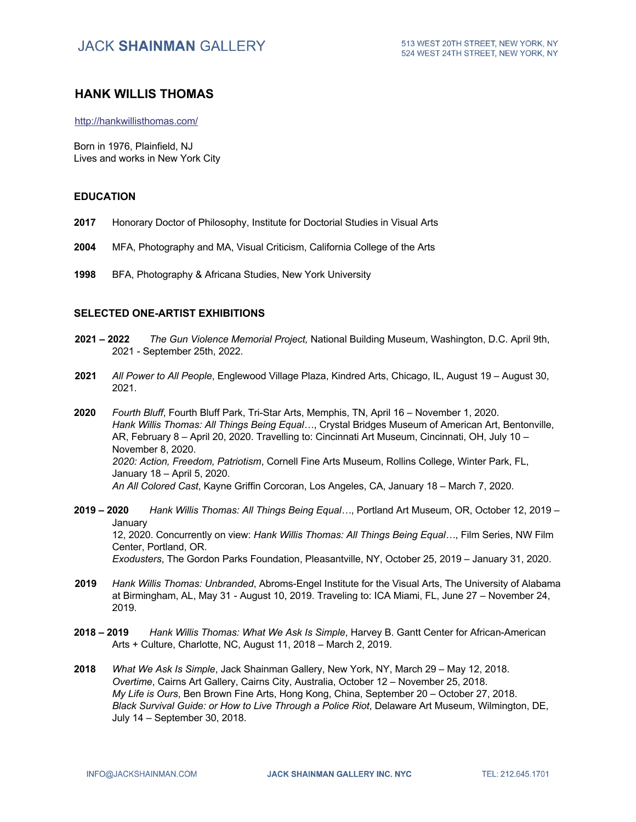### **HANK WILLIS THOMAS**

http://hankwillisthomas.com/

Born in 1976, Plainfield, NJ Lives and works in New York City

#### **EDUCATION**

- **2017** Honorary Doctor of Philosophy, Institute for Doctorial Studies in Visual Arts
- **2004** MFA, Photography and MA, Visual Criticism, California College of the Arts
- **1998** BFA, Photography & Africana Studies, New York University

#### **SELECTED ONE-ARTIST EXHIBITIONS**

- **2021 – 2022** *The Gun Violence Memorial Project,* National Building Museum, Washington, D.C. April 9th, 2021 - September 25th, 2022.
- **2021** *All Power to All People*, Englewood Village Plaza, Kindred Arts, Chicago, IL, August 19 August 30, 2021.
- **2020** *Fourth Bluff*, Fourth Bluff Park, Tri-Star Arts, Memphis, TN, April 16 November 1, 2020. *Hank Willis Thomas: All Things Being Equal…*, Crystal Bridges Museum of American Art, Bentonville, AR, February 8 – April 20, 2020. Travelling to: Cincinnati Art Museum, Cincinnati, OH, July 10 – November 8, 2020. *2020: Action, Freedom, Patriotism*, Cornell Fine Arts Museum, Rollins College, Winter Park, FL, January 18 – April 5, 2020. *An All Colored Cast*, Kayne Griffin Corcoran, Los Angeles, CA, January 18 – March 7, 2020.
- **2019 – 2020** *Hank Willis Thomas: All Things Being Equal…*, Portland Art Museum, OR, October 12, 2019 **January** 12, 2020. Concurrently on view: *Hank Willis Thomas: All Things Being Equal…*, Film Series, NW Film Center, Portland, OR. *Exodusters*, The Gordon Parks Foundation, Pleasantville, NY, October 25, 2019 – January 31, 2020.
- **2019** *Hank Willis Thomas: Unbranded*, Abroms-Engel Institute for the Visual Arts, The University of Alabama at Birmingham, AL, May 31 - August 10, 2019. Traveling to: ICA Miami, FL, June 27 – November 24, 2019.
- **2018 – 2019** *Hank Willis Thomas: What We Ask Is Simple*, Harvey B. Gantt Center for African-American Arts + Culture, Charlotte, NC, August 11, 2018 – March 2, 2019.
- **2018** *What We Ask Is Simple*, Jack Shainman Gallery, New York, NY, March 29 May 12, 2018. *Overtime*, Cairns Art Gallery, Cairns City, Australia, October 12 – November 25, 2018. *My Life is Ours*, Ben Brown Fine Arts, Hong Kong, China, September 20 – October 27, 2018. *Black Survival Guide: or How to Live Through a Police Riot*, Delaware Art Museum, Wilmington, DE, July 14 – September 30, 2018.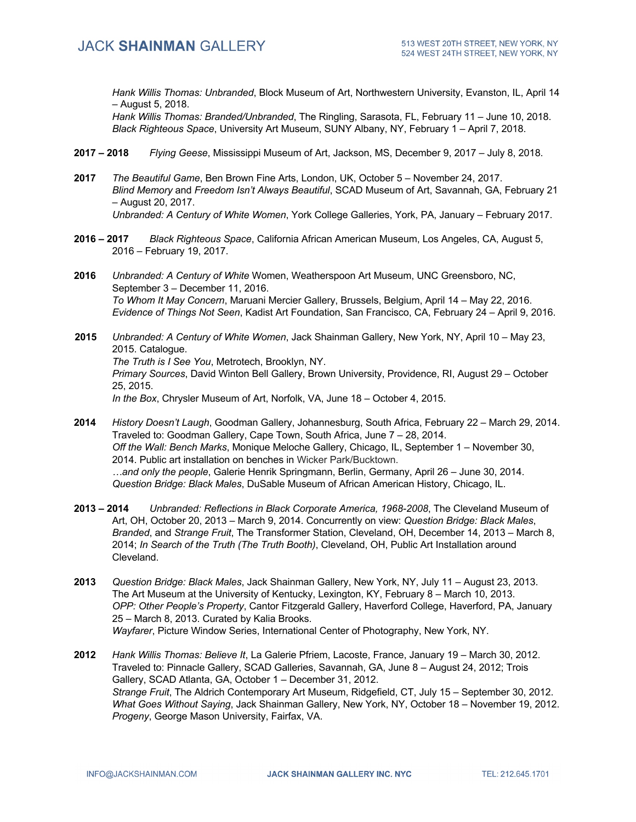*Hank Willis Thomas: Unbranded*, Block Museum of Art, Northwestern University, Evanston, IL, April 14 – August 5, 2018.

*Hank Willis Thomas: Branded/Unbranded*, The Ringling, Sarasota, FL, February 11 – June 10, 2018. *Black Righteous Space*, University Art Museum, SUNY Albany, NY, February 1 – April 7, 2018.

- **2017 – 2018** *Flying Geese*, Mississippi Museum of Art, Jackson, MS, December 9, 2017 July 8, 2018.
- **2017** *The Beautiful Game*, Ben Brown Fine Arts, London, UK, October 5 November 24, 2017. *Blind Memory* and *Freedom Isn't Always Beautiful*, SCAD Museum of Art, Savannah, GA, February 21 – August 20, 2017. *Unbranded: A Century of White Women*, York College Galleries, York, PA, January – February 2017.
- **2016 – 2017** *Black Righteous Space*, California African American Museum, Los Angeles, CA, August 5, 2016 – February 19, 2017.
- **2016** *Unbranded: A Century of White* Women, Weatherspoon Art Museum, UNC Greensboro, NC, September 3 – December 11, 2016. *To Whom It May Concern*, Maruani Mercier Gallery, Brussels, Belgium, April 14 – May 22, 2016. *Evidence of Things Not Seen*, Kadist Art Foundation, San Francisco, CA, February 24 – April 9, 2016.
- **2015** *Unbranded: A Century of White Women*, Jack Shainman Gallery, New York, NY, April 10 May 23, 2015. Catalogue. *The Truth is I See You*, Metrotech, Brooklyn, NY. *Primary Sources*, David Winton Bell Gallery, Brown University, Providence, RI, August 29 – October 25, 2015. *In the Box*, Chrysler Museum of Art, Norfolk, VA, June 18 – October 4, 2015.
- **2014** *History Doesn't Laugh*, Goodman Gallery, Johannesburg, South Africa, February 22 March 29, 2014. Traveled to: Goodman Gallery, Cape Town, South Africa, June 7 – 28, 2014. *Off the Wall: Bench Marks*, Monique Meloche Gallery, Chicago, IL, September 1 – November 30, 2014. Public art installation on benches in Wicker Park/Bucktown. *…and only the people*, Galerie Henrik Springmann, Berlin, Germany, April 26 – June 30, 2014. *Question Bridge: Black Males*, DuSable Museum of African American History, Chicago, IL.
- **2013 – 2014** *Unbranded: Reflections in Black Corporate America, 1968-2008*, The Cleveland Museum of Art, OH, October 20, 2013 – March 9, 2014. Concurrently on view: *Question Bridge: Black Males*, *Branded*, and *Strange Fruit*, The Transformer Station, Cleveland, OH, December 14, 2013 – March 8, 2014; *In Search of the Truth (The Truth Booth)*, Cleveland, OH, Public Art Installation around Cleveland.
- **2013** *Question Bridge: Black Males*, Jack Shainman Gallery, New York, NY, July 11 August 23, 2013. The Art Museum at the University of Kentucky, Lexington, KY, February 8 – March 10, 2013. *OPP: Other People's Property*, Cantor Fitzgerald Gallery, Haverford College, Haverford, PA, January 25 – March 8, 2013. Curated by Kalia Brooks. *Wayfarer*, Picture Window Series, International Center of Photography, New York, NY.
- **2012** *Hank Willis Thomas: Believe It*, La Galerie Pfriem, Lacoste, France, January 19 March 30, 2012. Traveled to: Pinnacle Gallery, SCAD Galleries, Savannah, GA, June 8 – August 24, 2012; Trois Gallery, SCAD Atlanta, GA, October 1 – December 31, 2012. *Strange Fruit*, The Aldrich Contemporary Art Museum, Ridgefield, CT, July 15 – September 30, 2012. *What Goes Without Saying*, Jack Shainman Gallery, New York, NY, October 18 – November 19, 2012. *Progeny*, George Mason University, Fairfax, VA.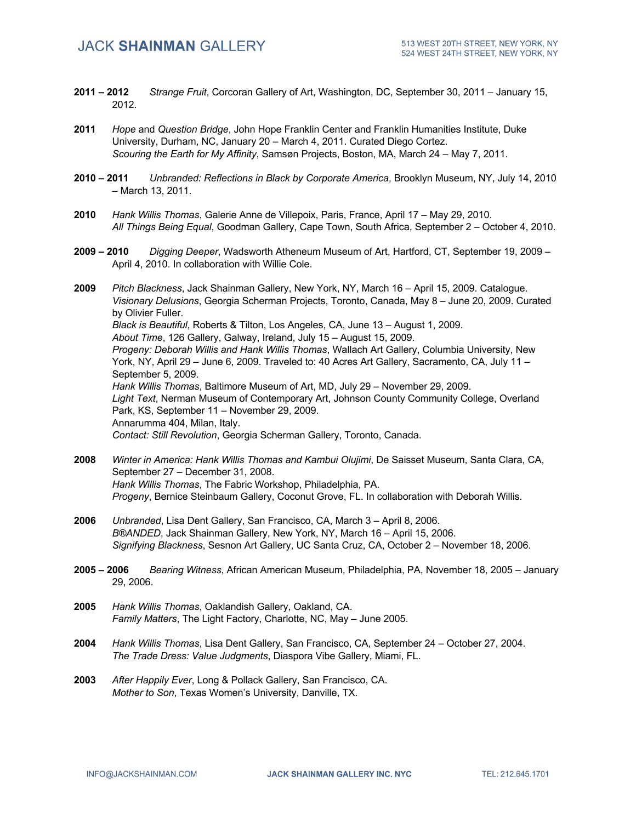- **2011 – 2012** *Strange Fruit*, Corcoran Gallery of Art, Washington, DC, September 30, 2011 January 15, 2012.
- **2011** *Hope* and *Question Bridge*, John Hope Franklin Center and Franklin Humanities Institute, Duke University, Durham, NC, January 20 – March 4, 2011. Curated Diego Cortez. *Scouring the Earth for My Affinity*, Samsøn Projects, Boston, MA, March 24 – May 7, 2011.
- **2010 – 2011** *Unbranded: Reflections in Black by Corporate America*, Brooklyn Museum, NY, July 14, 2010 – March 13, 2011.
- **2010** *Hank Willis Thomas*, Galerie Anne de Villepoix, Paris, France, April 17 May 29, 2010. *All Things Being Equal*, Goodman Gallery, Cape Town, South Africa, September 2 – October 4, 2010.
- **2009 – 2010** *Digging Deeper*, Wadsworth Atheneum Museum of Art, Hartford, CT, September 19, 2009 April 4, 2010. In collaboration with Willie Cole.

**2009** *Pitch Blackness*, Jack Shainman Gallery, New York, NY, March 16 – April 15, 2009. Catalogue. *Visionary Delusions*, Georgia Scherman Projects, Toronto, Canada, May 8 – June 20, 2009. Curated by Olivier Fuller. *Black is Beautiful*, Roberts & Tilton, Los Angeles, CA, June 13 – August 1, 2009. *About Time*, 126 Gallery, Galway, Ireland, July 15 – August 15, 2009. *Progeny: Deborah Willis and Hank Willis Thomas*, Wallach Art Gallery, Columbia University, New York, NY, April 29 – June 6, 2009. Traveled to: 40 Acres Art Gallery, Sacramento, CA, July 11 – September 5, 2009. *Hank Willis Thomas*, Baltimore Museum of Art, MD, July 29 – November 29, 2009. *Light Text*, Nerman Museum of Contemporary Art, Johnson County Community College, Overland Park, KS, September 11 – November 29, 2009. Annarumma 404, Milan, Italy. *Contact: Still Revolution*, Georgia Scherman Gallery, Toronto, Canada.

- **2008** *Winter in America: Hank Willis Thomas and Kambui Olujimi*, De Saisset Museum, Santa Clara, CA, September 27 – December 31, 2008. *Hank Willis Thomas*, The Fabric Workshop, Philadelphia, PA. *Progeny*, Bernice Steinbaum Gallery, Coconut Grove, FL. In collaboration with Deborah Willis.
- **2006** *Unbranded*, Lisa Dent Gallery, San Francisco, CA, March 3 April 8, 2006. *B®ANDED*, Jack Shainman Gallery, New York, NY, March 16 – April 15, 2006. *Signifying Blackness*, Sesnon Art Gallery, UC Santa Cruz, CA, October 2 – November 18, 2006.
- **2005 – 2006** *Bearing Witness*, African American Museum, Philadelphia, PA, November 18, 2005 January 29, 2006.
- **2005** *Hank Willis Thomas*, Oaklandish Gallery, Oakland, CA. *Family Matters*, The Light Factory, Charlotte, NC, May – June 2005.
- **2004** *Hank Willis Thomas*, Lisa Dent Gallery, San Francisco, CA, September 24 October 27, 2004. *The Trade Dress: Value Judgments*, Diaspora Vibe Gallery, Miami, FL.
- **2003** *After Happily Ever*, Long & Pollack Gallery, San Francisco, CA. *Mother to Son*, Texas Women's University, Danville, TX.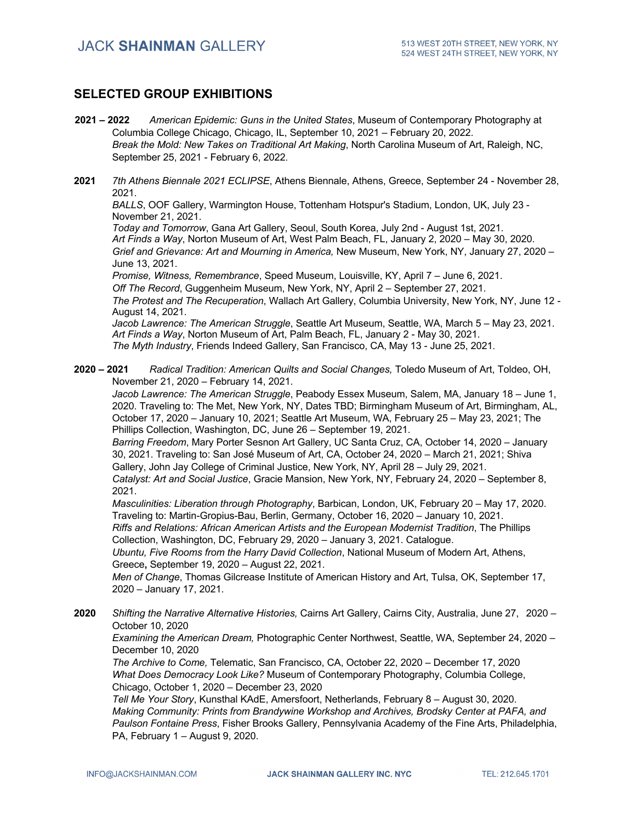### **SELECTED GROUP EXHIBITIONS**

- **2021 – 2022** *American Epidemic: Guns in the United States*, Museum of Contemporary Photography at Columbia College Chicago, Chicago, IL, September 10, 2021 – February 20, 2022. *Break the Mold: New Takes on Traditional Art Making*, North Carolina Museum of Art, Raleigh, NC, September 25, 2021 - February 6, 2022.
- **2021** *7th Athens Biennale 2021 ECLIPSE*, Athens Biennale, Athens, Greece, September 24 November 28, 2021.

*BALLS*, OOF Gallery, Warmington House, Tottenham Hotspur's Stadium, London, UK, July 23 - November 21, 2021.

*Today and Tomorrow*, Gana Art Gallery, Seoul, South Korea, July 2nd - August 1st, 2021. *Art Finds a Way*, Norton Museum of Art, West Palm Beach, FL, January 2, 2020 – May 30, 2020. *Grief and Grievance: Art and Mourning in America,* New Museum, New York, NY, January 27, 2020 – June 13, 2021.

*Promise, Witness, Remembrance*, Speed Museum, Louisville, KY, April 7 – June 6, 2021. *Off The Record*, Guggenheim Museum, New York, NY, April 2 – September 27, 2021. *The Protest and The Recuperation*, Wallach Art Gallery, Columbia University, New York, NY, June 12 - August 14, 2021.

*Jacob Lawrence: The American Struggle*, Seattle Art Museum, Seattle, WA, March 5 – May 23, 2021. *Art Finds a Way*, Norton Museum of Art, Palm Beach, FL, January 2 - May 30, 2021. *The Myth Industry*, Friends Indeed Gallery, San Francisco, CA, May 13 - June 25, 2021.

**2020 – 2021** *Radical Tradition: American Quilts and Social Changes,* Toledo Museum of Art, Toldeo, OH, November 21, 2020 – February 14, 2021.

*Jacob Lawrence: The American Struggle*, Peabody Essex Museum, Salem, MA, January 18 – June 1, 2020. Traveling to: The Met, New York, NY, Dates TBD; Birmingham Museum of Art, Birmingham, AL, October 17, 2020 – January 10, 2021; Seattle Art Museum, WA, February 25 – May 23, 2021; The Phillips Collection, Washington, DC, June 26 – September 19, 2021.

*Barring Freedom*, Mary Porter Sesnon Art Gallery, UC Santa Cruz, CA, October 14, 2020 – January 30, 2021. Traveling to: San José Museum of Art, CA, October 24, 2020 – March 21, 2021; Shiva Gallery, John Jay College of Criminal Justice, New York, NY, April 28 – July 29, 2021.

*Catalyst: Art and Social Justice*, Gracie Mansion, New York, NY, February 24, 2020 – September 8, 2021.

*Masculinities: Liberation through Photography*, Barbican, London, UK, February 20 – May 17, 2020. Traveling to: Martin-Gropius-Bau, Berlin, Germany, October 16, 2020 – January 10, 2021. *Riffs and Relations: African American Artists and the European Modernist Tradition*, The Phillips

Collection, Washington, DC, February 29, 2020 – January 3, 2021. Catalogue. *Ubuntu, Five Rooms from the Harry David Collection*, National Museum of Modern Art, Athens, Greece**,** September 19, 2020 – August 22, 2021.

*Men of Change*, Thomas Gilcrease Institute of American History and Art, Tulsa, OK, September 17, 2020 – January 17, 2021.

**2020** *Shifting the Narrative Alternative Histories,* Cairns Art Gallery, Cairns City, Australia, June 27, 2020 – October 10, 2020

*Examining the American Dream,* Photographic Center Northwest, Seattle, WA, September 24, 2020 – December 10, 2020

*The Archive to Come,* Telematic, San Francisco, CA, October 22, 2020 – December 17, 2020 *What Does Democracy Look Like?* Museum of Contemporary Photography, Columbia College, Chicago, October 1, 2020 – December 23, 2020

*Tell Me Your Story*, Kunsthal KAdE, Amersfoort, Netherlands, February 8 – August 30, 2020. *Making Community: Prints from Brandywine Workshop and Archives, Brodsky Center at PAFA, and Paulson Fontaine Press*, Fisher Brooks Gallery, Pennsylvania Academy of the Fine Arts, Philadelphia, PA, February 1 – August 9, 2020.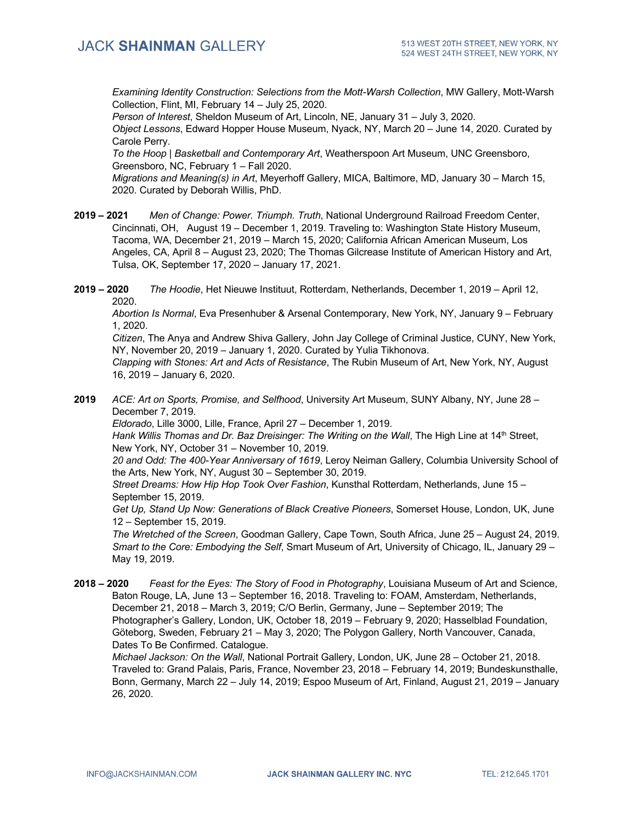*Examining Identity Construction: Selections from the Mott-Warsh Collection*, MW Gallery, Mott-Warsh Collection, Flint, MI, February 14 – July 25, 2020.

*Person of Interest*, Sheldon Museum of Art, Lincoln, NE, January 31 – July 3, 2020. *Object Lessons*, Edward Hopper House Museum, Nyack, NY, March 20 – June 14, 2020. Curated by Carole Perry.

*To the Hoop | Basketball and Contemporary Art*, Weatherspoon Art Museum, UNC Greensboro, Greensboro, NC, February 1 – Fall 2020.

*Migrations and Meaning(s) in Art*, Meyerhoff Gallery, MICA, Baltimore, MD, January 30 – March 15, 2020. Curated by Deborah Willis, PhD.

- **2019 – 2021** *Men of Change: Power. Triumph. Truth*, National Underground Railroad Freedom Center, Cincinnati, OH, August 19 – December 1, 2019. Traveling to: Washington State History Museum, Tacoma, WA, December 21, 2019 – March 15, 2020; California African American Museum, Los Angeles, CA, April 8 – August 23, 2020; The Thomas Gilcrease Institute of American History and Art, Tulsa, OK, September 17, 2020 – January 17, 2021.
- **2019 – 2020** *The Hoodie*, Het Nieuwe Instituut, Rotterdam, Netherlands, December 1, 2019 April 12, 2020.

*Abortion Is Normal*, Eva Presenhuber & Arsenal Contemporary, New York, NY, January 9 – February 1, 2020.

*Citizen*, The Anya and Andrew Shiva Gallery, John Jay College of Criminal Justice, CUNY, New York, NY, November 20, 2019 – January 1, 2020. Curated by Yulia Tikhonova.

*Clapping with Stones: Art and Acts of Resistance*, The Rubin Museum of Art, New York, NY, August 16, 2019 – January 6, 2020.

**2019** *ACE: Art on Sports, Promise, and Selfhood*, University Art Museum, SUNY Albany, NY, June 28 – December 7, 2019.

*Eldorado*, Lille 3000, Lille, France, April 27 – December 1, 2019.

Hank Willis Thomas and Dr. Baz Dreisinger: The Writing on the Wall, The High Line at 14<sup>th</sup> Street, New York, NY, October 31 – November 10, 2019.

*20 and Odd: The 400-Year Anniversary of 1619*, Leroy Neiman Gallery, Columbia University School of the Arts, New York, NY, August 30 – September 30, 2019.

*Street Dreams: How Hip Hop Took Over Fashion*, Kunsthal Rotterdam, Netherlands, June 15 – September 15, 2019.

*Get Up, Stand Up Now: Generations of Black Creative Pioneers*, Somerset House, London, UK, June 12 – September 15, 2019.

*The Wretched of the Screen*, Goodman Gallery, Cape Town, South Africa, June 25 – August 24, 2019. *Smart to the Core: Embodying the Self*, Smart Museum of Art, University of Chicago, IL, January 29 – May 19, 2019.

**2018 – 2020** *Feast for the Eyes: The Story of Food in Photography*, Louisiana Museum of Art and Science, Baton Rouge, LA, June 13 – September 16, 2018. Traveling to: FOAM, Amsterdam, Netherlands, December 21, 2018 – March 3, 2019; C/O Berlin, Germany, June – September 2019; The Photographer's Gallery, London, UK, October 18, 2019 – February 9, 2020; Hasselblad Foundation, Göteborg, Sweden, February 21 – May 3, 2020; The Polygon Gallery, North Vancouver, Canada, Dates To Be Confirmed. Catalogue.

*Michael Jackson: On the Wall*, National Portrait Gallery, London, UK, June 28 – October 21, 2018. Traveled to: Grand Palais, Paris, France, November 23, 2018 – February 14, 2019; Bundeskunsthalle, Bonn, Germany, March 22 – July 14, 2019; Espoo Museum of Art, Finland, August 21, 2019 – January 26, 2020.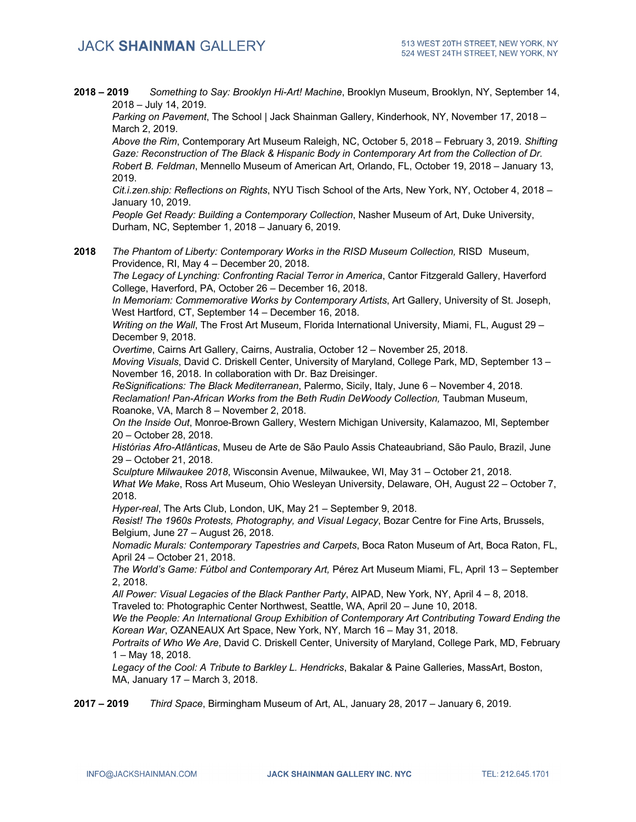**2018 – 2019** *Something to Say: Brooklyn Hi-Art! Machine*, Brooklyn Museum, Brooklyn, NY, September 14, 2018 – July 14, 2019.

*Parking on Pavement*, The School | Jack Shainman Gallery, Kinderhook, NY, November 17, 2018 – March 2, 2019.

*Above the Rim*, Contemporary Art Museum Raleigh, NC, October 5, 2018 – February 3, 2019. *Shifting Gaze: Reconstruction of The Black & Hispanic Body in Contemporary Art from the Collection of Dr. Robert B. Feldman*, Mennello Museum of American Art, Orlando, FL, October 19, 2018 – January 13, 2019.

*Cit.i.zen.ship: Reflections on Rights*, NYU Tisch School of the Arts, New York, NY, October 4, 2018 – January 10, 2019.

*People Get Ready: Building a Contemporary Collection*, Nasher Museum of Art, Duke University, Durham, NC, September 1, 2018 – January 6, 2019.

**2018** *The Phantom of Liberty: Contemporary Works in the RISD Museum Collection,* RISD Museum, Providence, RI, May 4 – December 20, 2018.

*The Legacy of Lynching: Confronting Racial Terror in America*, Cantor Fitzgerald Gallery, Haverford College, Haverford, PA, October 26 – December 16, 2018.

*In Memoriam: Commemorative Works by Contemporary Artists*, Art Gallery, University of St. Joseph, West Hartford, CT, September 14 – December 16, 2018.

*Writing on the Wall*, The Frost Art Museum, Florida International University, Miami, FL, August 29 – December 9, 2018.

*Overtime*, Cairns Art Gallery, Cairns, Australia, October 12 – November 25, 2018.

*Moving Visuals*, David C. Driskell Center, University of Maryland, College Park, MD, September 13 – November 16, 2018. In collaboration with Dr. Baz Dreisinger.

*ReSignifications: The Black Mediterranean*, Palermo, Sicily, Italy, June 6 – November 4, 2018. Reclamation! Pan-African Works from the Beth Rudin DeWoody Collection, Taubman Museum, Roanoke, VA, March 8 – November 2, 2018.

*On the Inside Out*, Monroe-Brown Gallery, Western Michigan University, Kalamazoo, MI, September 20 – October 28, 2018.

*Histórias Afro-Atlânticas*, Museu de Arte de São Paulo Assis Chateaubriand, São Paulo, Brazil, June 29 – October 21, 2018.

*Sculpture Milwaukee 2018*, Wisconsin Avenue, Milwaukee, WI, May 31 – October 21, 2018. *What We Make*, Ross Art Museum, Ohio Wesleyan University, Delaware, OH, August 22 – October 7, 2018.

*Hyper-real*, The Arts Club, London, UK, May 21 – September 9, 2018.

*Resist! The 1960s Protests, Photography, and Visual Legacy*, Bozar Centre for Fine Arts, Brussels, Belgium, June 27 – August 26, 2018.

*Nomadic Murals: Contemporary Tapestries and Carpets*, Boca Raton Museum of Art, Boca Raton, FL, April 24 – October 21, 2018.

*The World's Game: Fútbol and Contemporary Art,* Pérez Art Museum Miami, FL, April 13 – September 2, 2018.

*All Power: Visual Legacies of the Black Panther Party*, AIPAD, New York, NY, April 4 – 8, 2018.

Traveled to: Photographic Center Northwest, Seattle, WA, April 20 – June 10, 2018.

*We the People: An International Group Exhibition of Contemporary Art Contributing Toward Ending the Korean War*, OZANEAUX Art Space, New York, NY, March 16 – May 31, 2018.

*Portraits of Who We Are*, David C. Driskell Center, University of Maryland, College Park, MD, February 1 – May 18, 2018.

*Legacy of the Cool: A Tribute to Barkley L. Hendricks*, Bakalar & Paine Galleries, MassArt, Boston, MA, January 17 – March 3, 2018.

**2017 – 2019** *Third Space*, Birmingham Museum of Art, AL, January 28, 2017 – January 6, 2019.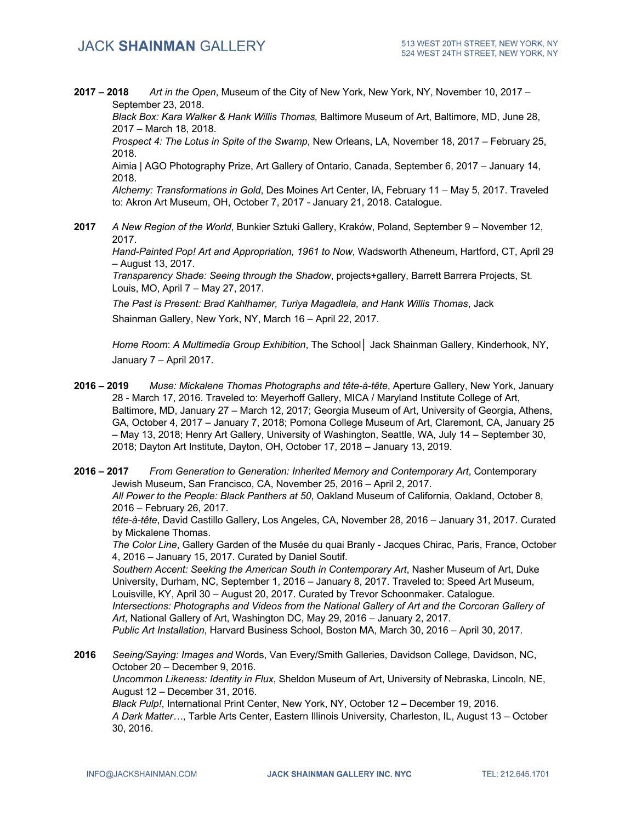**2017 – 2018** *Art in the Open*, Museum of the City of New York, New York, NY, November 10, 2017 – September 23, 2018.

*Black Box: Kara Walker & Hank Willis Thomas,* Baltimore Museum of Art, Baltimore, MD, June 28, 2017 – March 18, 2018.

*Prospect 4: The Lotus in Spite of the Swamp*, New Orleans, LA, November 18, 2017 – February 25, 2018.

Aimia | AGO Photography Prize, Art Gallery of Ontario, Canada, September 6, 2017 – January 14, 2018.

*Alchemy: Transformations in Gold*, Des Moines Art Center, IA, February 11 – May 5, 2017. Traveled to: Akron Art Museum, OH, October 7, 2017 - January 21, 2018. Catalogue.

**2017** *A New Region of the World*, Bunkier Sztuki Gallery, Kraków, Poland, September 9 – November 12, 2017.

*Hand-Painted Pop! Art and Appropriation, 1961 to Now*, Wadsworth Atheneum, Hartford, CT, April 29 – August 13, 2017.

*Transparency Shade: Seeing through the Shadow*, projects+gallery, Barrett Barrera Projects, St. Louis, MO, April 7 – May 27, 2017.

*The Past is Present: Brad Kahlhamer, Turiya Magadlela, and Hank Willis Thomas*, Jack Shainman Gallery, New York, NY, March 16 – April 22, 2017.

*Home Room*: *A Multimedia Group Exhibition*, The School**│** Jack Shainman Gallery, Kinderhook, NY, January 7 – April 2017.

- **2016 – 2019** *Muse: Mickalene Thomas Photographs and tête-à-tête*, Aperture Gallery, New York, January 28 - March 17, 2016. Traveled to: Meyerhoff Gallery, MICA / Maryland Institute College of Art, Baltimore, MD, January 27 – March 12, 2017; Georgia Museum of Art, University of Georgia, Athens, GA, October 4, 2017 – January 7, 2018; Pomona College Museum of Art, Claremont, CA, January 25 – May 13, 2018; Henry Art Gallery, University of Washington, Seattle, WA, July 14 – September 30, 2018; Dayton Art Institute, Dayton, OH, October 17, 2018 – January 13, 2019.
- **2016 – 2017** *From Generation to Generation: Inherited Memory and Contemporary Art*, Contemporary Jewish Museum, San Francisco, CA, November 25, 2016 – April 2, 2017. *All Power to the People: Black Panthers at 50*, Oakland Museum of California, Oakland, October 8,

2016 – February 26, 2017.

*tête-à-tête*, David Castillo Gallery, Los Angeles, CA, November 28, 2016 – January 31, 2017. Curated by Mickalene Thomas.

*The Color Line*, Gallery Garden of the Musée du quai Branly - Jacques Chirac, Paris, France, October 4, 2016 – January 15, 2017. Curated by Daniel Soutif.

*Southern Accent: Seeking the American South in Contemporary Art*, Nasher Museum of Art, Duke University, Durham, NC, September 1, 2016 – January 8, 2017. Traveled to: Speed Art Museum, Louisville, KY, April 30 – August 20, 2017. Curated by Trevor Schoonmaker. Catalogue. *Intersections: Photographs and Videos from the National Gallery of Art and the Corcoran Gallery of Art*, National Gallery of Art, Washington DC, May 29, 2016 – January 2, 2017. *Public Art Installation*, Harvard Business School, Boston MA, March 30, 2016 – April 30, 2017.

**2016** *Seeing/Saying: Images and* Words, Van Every/Smith Galleries, Davidson College, Davidson, NC, October 20 – December 9, 2016. *Uncommon Likeness: Identity in Flux*, Sheldon Museum of Art, University of Nebraska, Lincoln, NE, August 12 – December 31, 2016. *Black Pulp!*, International Print Center, New York, NY, October 12 – December 19, 2016. *A Dark Matter…*, Tarble Arts Center, Eastern Illinois University*,* Charleston, IL, August 13 – October 30, 2016.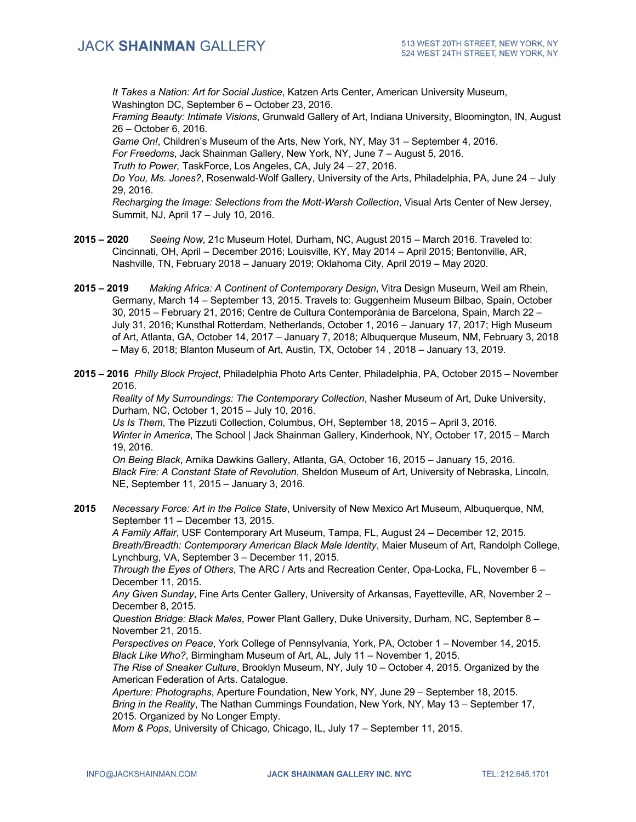*It Takes a Nation: Art for Social Justice*, Katzen Arts Center, American University Museum, Washington DC, September 6 – October 23, 2016.

*Framing Beauty: Intimate Visions*, Grunwald Gallery of Art, Indiana University, Bloomington, IN, August 26 – October 6, 2016.

*Game On!*, Children's Museum of the Arts, New York, NY, May 31 – September 4, 2016.

*For Freedoms*, Jack Shainman Gallery, New York, NY, June 7 – August 5, 2016.

*Truth to Power,* TaskForce, Los Angeles, CA, July 24 – 27, 2016.

*Do You, Ms. Jones?*, Rosenwald-Wolf Gallery, University of the Arts, Philadelphia, PA, June 24 – July 29, 2016.

*Recharging the Image: Selections from the Mott-Warsh Collection*, Visual Arts Center of New Jersey, Summit, NJ, April 17 – July 10, 2016.

- **2015 – 2020** *Seeing Now*, 21c Museum Hotel, Durham, NC, August 2015 March 2016. Traveled to: Cincinnati, OH, April – December 2016; Louisville, KY, May 2014 – April 2015; Bentonville, AR, Nashville, TN, February 2018 – January 2019; Oklahoma City, April 2019 – May 2020.
- **2015 – 2019** *Making Africa: A Continent of Contemporary Design*, Vitra Design Museum, Weil am Rhein, Germany, March 14 – September 13, 2015. Travels to: Guggenheim Museum Bilbao, Spain, October 30, 2015 – February 21, 2016; Centre de Cultura Contemporània de Barcelona, Spain, March 22 – July 31, 2016; Kunsthal Rotterdam, Netherlands, October 1, 2016 – January 17, 2017; High Museum of Art, Atlanta, GA, October 14, 2017 – January 7, 2018; Albuquerque Museum, NM, February 3, 2018 – May 6, 2018; Blanton Museum of Art, Austin, TX, October 14 , 2018 – January 13, 2019.
- **2015 – 2016** *Philly Block Project*, Philadelphia Photo Arts Center, Philadelphia, PA, October 2015 November 2016.

*Reality of My Surroundings: The Contemporary Collection*, Nasher Museum of Art, Duke University, Durham, NC, October 1, 2015 – July 10, 2016.

*Us Is Them*, The Pizzuti Collection, Columbus, OH, September 18, 2015 – April 3, 2016. *Winter in America*, The School | Jack Shainman Gallery, Kinderhook, NY, October 17, 2015 – March 19, 2016.

*On Being Black*, Arnika Dawkins Gallery, Atlanta, GA, October 16, 2015 – January 15, 2016. *Black Fire: A Constant State of Revolution*, Sheldon Museum of Art, University of Nebraska, Lincoln, NE, September 11, 2015 – January 3, 2016.

**2015** *Necessary Force: Art in the Police State*, University of New Mexico Art Museum, Albuquerque, NM, September 11 – December 13, 2015.

*A Family Affair*, USF Contemporary Art Museum, Tampa, FL, August 24 – December 12, 2015. *Breath/Breadth: Contemporary American Black Male Identity*, Maier Museum of Art, Randolph College, Lynchburg, VA, September 3 – December 11, 2015.

*Through the Eyes of Others*, The ARC / Arts and Recreation Center, Opa-Locka, FL, November 6 – December 11, 2015.

*Any Given Sunday*, Fine Arts Center Gallery, University of Arkansas, Fayetteville, AR, November 2 – December 8, 2015.

*Question Bridge: Black Males*, Power Plant Gallery, Duke University, Durham, NC, September 8 – November 21, 2015.

*Perspectives on Peace*, York College of Pennsylvania, York, PA, October 1 – November 14, 2015. *Black Like Who?*, Birmingham Museum of Art, AL, July 11 – November 1, 2015.

*The Rise of Sneaker Culture*, Brooklyn Museum, NY, July 10 – October 4, 2015. Organized by the American Federation of Arts. Catalogue.

*Aperture: Photographs*, Aperture Foundation, New York, NY, June 29 – September 18, 2015. *Bring in the Reality*, The Nathan Cummings Foundation, New York, NY, May 13 – September 17, 2015. Organized by No Longer Empty.

*Mom & Pops*, University of Chicago, Chicago, IL, July 17 – September 11, 2015.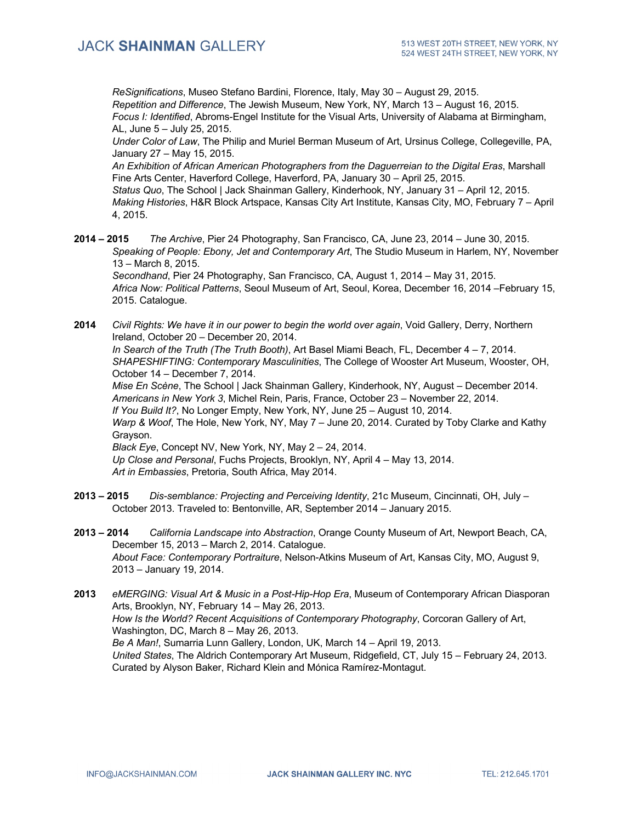*ReSignifications*, Museo Stefano Bardini, Florence, Italy, May 30 – August 29, 2015. *Repetition and Difference*, The Jewish Museum, New York, NY, March 13 – August 16, 2015. *Focus I: Identified*, Abroms-Engel Institute for the Visual Arts, University of Alabama at Birmingham, AL, June 5 – July 25, 2015.

*Under Color of Law*, The Philip and Muriel Berman Museum of Art, Ursinus College, Collegeville, PA, January 27 – May 15, 2015.

*An Exhibition of African American Photographers from the Daguerreian to the Digital Eras*, Marshall Fine Arts Center, Haverford College, Haverford, PA, January 30 – April 25, 2015. *Status Quo*, The School | Jack Shainman Gallery, Kinderhook, NY, January 31 – April 12, 2015. *Making Histories*, H&R Block Artspace, Kansas City Art Institute, Kansas City, MO, February 7 – April

4, 2015.

**2014 – 2015** *The Archive*, Pier 24 Photography, San Francisco, CA, June 23, 2014 – June 30, 2015. *Speaking of People: Ebony, Jet and Contemporary Art*, The Studio Museum in Harlem, NY, November 13 – March 8, 2015.

*Secondhand*, Pier 24 Photography, San Francisco, CA, August 1, 2014 – May 31, 2015. *Africa Now: Political Patterns*, Seoul Museum of Art, Seoul, Korea, December 16, 2014 –February 15, 2015. Catalogue.

**2014** *Civil Rights: We have it in our power to begin the world over again*, Void Gallery, Derry, Northern Ireland, October 20 – December 20, 2014. *In Search of the Truth (The Truth Booth)*, Art Basel Miami Beach, FL, December 4 – 7, 2014. *SHAPESHIFTING: Contemporary Masculinities*, The College of Wooster Art Museum, Wooster, OH, October 14 – December 7, 2014. *Mise En Scène*, The School | Jack Shainman Gallery, Kinderhook, NY, August – December 2014.

*Americans in New York 3*, Michel Rein, Paris, France, October 23 – November 22, 2014. *If You Build It?*, No Longer Empty, New York, NY, June 25 – August 10, 2014. *Warp & Woof*, The Hole, New York, NY, May 7 – June 20, 2014. Curated by Toby Clarke and Kathy Grayson. *Black Eye*, Concept NV, New York, NY, May 2 – 24, 2014.

*Up Close and Personal*, Fuchs Projects, Brooklyn, NY, April 4 – May 13, 2014. *Art in Embassies*, Pretoria, South Africa, May 2014.

- **2013 – 2015** *Dis-semblance: Projecting and Perceiving Identity*, 21c Museum, Cincinnati, OH, July October 2013. Traveled to: Bentonville, AR, September 2014 – January 2015.
- **2013 – 2014** *California Landscape into Abstraction*, Orange County Museum of Art, Newport Beach, CA, December 15, 2013 – March 2, 2014. Catalogue. *About Face: Contemporary Portraiture*, Nelson-Atkins Museum of Art, Kansas City, MO, August 9, 2013 – January 19, 2014.
- **2013** *eMERGING: Visual Art & Music in a Post-Hip-Hop Era*, Museum of Contemporary African Diasporan Arts, Brooklyn, NY, February 14 – May 26, 2013. *How Is the World? Recent Acquisitions of Contemporary Photography*, Corcoran Gallery of Art, Washington, DC, March 8 – May 26, 2013. *Be A Man!*, Sumarria Lunn Gallery, London, UK, March 14 – April 19, 2013. *United States*, The Aldrich Contemporary Art Museum, Ridgefield, CT, July 15 – February 24, 2013. Curated by Alyson Baker, Richard Klein and Mónica Ramírez-Montagut.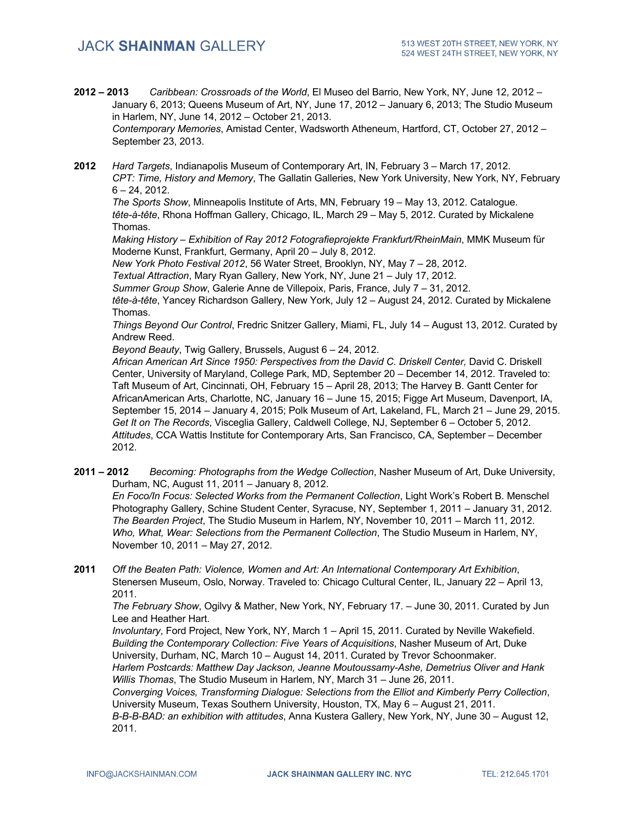- **2012 – 2013** *Caribbean: Crossroads of the World*, El Museo del Barrio, New York, NY, June 12, 2012 January 6, 2013; Queens Museum of Art, NY, June 17, 2012 – January 6, 2013; The Studio Museum in Harlem, NY, June 14, 2012 – October 21, 2013. *Contemporary Memories*, Amistad Center, Wadsworth Atheneum, Hartford, CT, October 27, 2012 – September 23, 2013.
- **2012** *Hard Targets*, Indianapolis Museum of Contemporary Art, IN, February 3 March 17, 2012. *CPT: Time, History and Memory*, The Gallatin Galleries, New York University, New York, NY, February  $6 - 24$ , 2012.

*The Sports Show*, Minneapolis Institute of Arts, MN, February 19 – May 13, 2012. Catalogue. *tête-à-tête*, Rhona Hoffman Gallery, Chicago, IL, March 29 – May 5, 2012. Curated by Mickalene Thomas.

*Making History – Exhibition of Ray 2012 Fotografieprojekte Frankfurt/RheinMain*, MMK Museum für Moderne Kunst, Frankfurt, Germany, April 20 – July 8, 2012.

*New York Photo Festival 2012*, 56 Water Street, Brooklyn, NY, May 7 – 28, 2012.

*Textual Attraction*, Mary Ryan Gallery, New York, NY, June 21 – July 17, 2012.

*Summer Group Show*, Galerie Anne de Villepoix, Paris, France, July 7 – 31, 2012.

*tête-à-tête*, Yancey Richardson Gallery, New York, July 12 – August 24, 2012. Curated by Mickalene Thomas.

*Things Beyond Our Control*, Fredric Snitzer Gallery, Miami, FL, July 14 – August 13, 2012. Curated by Andrew Reed.

*Beyond Beauty*, Twig Gallery, Brussels, August 6 – 24, 2012.

African American Art Since 1950: Perspectives from the David C. Driskell Center, David C. Driskell Center, University of Maryland, College Park, MD, September 20 – December 14, 2012. Traveled to: Taft Museum of Art, Cincinnati, OH, February 15 – April 28, 2013; The Harvey B. Gantt Center for AfricanAmerican Arts, Charlotte, NC, January 16 – June 15, 2015; Figge Art Museum, Davenport, IA, September 15, 2014 – January 4, 2015; Polk Museum of Art, Lakeland, FL, March 21 – June 29, 2015. *Get It on The Records*, Visceglia Gallery, Caldwell College, NJ, September 6 – October 5, 2012. *Attitudes*, CCA Wattis Institute for Contemporary Arts, San Francisco, CA, September – December 2012.

**2011 – 2012** *Becoming: Photographs from the Wedge Collection*, Nasher Museum of Art, Duke University, Durham, NC, August 11, 2011 – January 8, 2012.

*En Foco/In Focus: Selected Works from the Permanent Collection*, Light Work's Robert B. Menschel Photography Gallery, Schine Student Center, Syracuse, NY, September 1, 2011 – January 31, 2012. *The Bearden Project*, The Studio Museum in Harlem, NY, November 10, 2011 – March 11, 2012. *Who, What, Wear: Selections from the Permanent Collection*, The Studio Museum in Harlem, NY, November 10, 2011 – May 27, 2012.

**2011** *Off the Beaten Path: Violence, Women and Art: An International Contemporary Art Exhibition*, Stenersen Museum, Oslo, Norway. Traveled to: Chicago Cultural Center, IL, January 22 – April 13, 2011.

*The February Show*, Ogilvy & Mather, New York, NY, February 17. – June 30, 2011. Curated by Jun Lee and Heather Hart.

*Involuntary*, Ford Project, New York, NY, March 1 – April 15, 2011. Curated by Neville Wakefield. *Building the Contemporary Collection: Five Years of Acquisitions*, Nasher Museum of Art, Duke University, Durham, NC, March 10 – August 14, 2011. Curated by Trevor Schoonmaker.

*Harlem Postcards: Matthew Day Jackson, Jeanne Moutoussamy-Ashe, Demetrius Oliver and Hank Willis Thomas*, The Studio Museum in Harlem, NY, March 31 – June 26, 2011.

*Converging Voices, Transforming Dialogue: Selections from the Elliot and Kimberly Perry Collection*, University Museum, Texas Southern University, Houston, TX, May 6 – August 21, 2011.

*B-B-B-BAD: an exhibition with attitudes*, Anna Kustera Gallery, New York, NY, June 30 – August 12, 2011.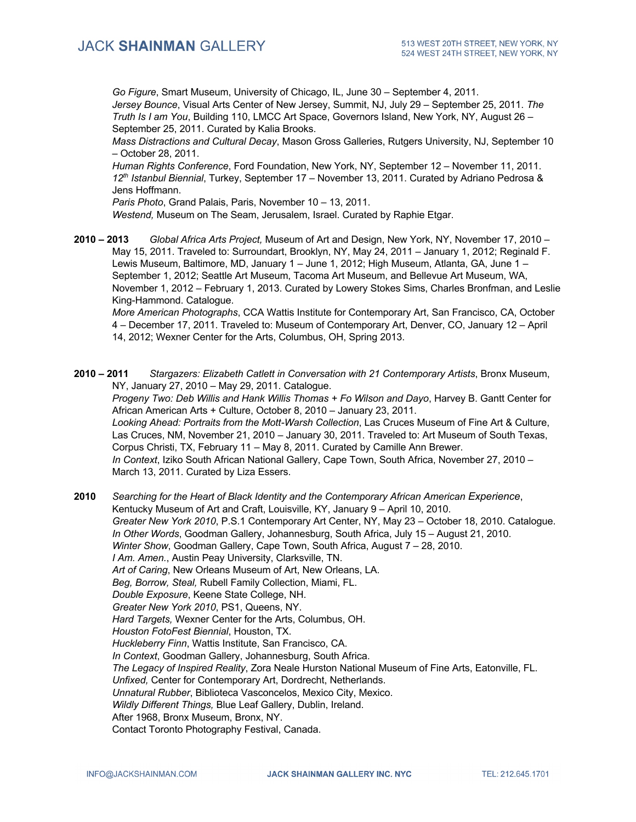*Go Figure*, Smart Museum, University of Chicago, IL, June 30 – September 4, 2011. *Jersey Bounce*, Visual Arts Center of New Jersey, Summit, NJ, July 29 – September 25, 2011. *The Truth Is I am You*, Building 110, LMCC Art Space, Governors Island, New York, NY, August 26 – September 25, 2011. Curated by Kalia Brooks.

*Mass Distractions and Cultural Decay*, Mason Gross Galleries, Rutgers University, NJ, September 10 – October 28, 2011.

*Human Rights Conference*, Ford Foundation, New York, NY, September 12 – November 11, 2011. *12th Istanbul Biennial*, Turkey, September 17 – November 13, 2011. Curated by Adriano Pedrosa & Jens Hoffmann.

*Paris Photo*, Grand Palais, Paris, November 10 – 13, 2011.

*Westend,* Museum on The Seam, Jerusalem, Israel. Curated by Raphie Etgar.

**2010 – 2013** *Global Africa Arts Project,* Museum of Art and Design, New York, NY, November 17, 2010 – May 15, 2011. Traveled to: Surroundart, Brooklyn, NY, May 24, 2011 – January 1, 2012; Reginald F. Lewis Museum, Baltimore, MD, January 1 – June 1, 2012; High Museum, Atlanta, GA, June 1 – September 1, 2012; Seattle Art Museum, Tacoma Art Museum, and Bellevue Art Museum, WA, November 1, 2012 – February 1, 2013. Curated by Lowery Stokes Sims, Charles Bronfman, and Leslie King-Hammond. Catalogue.

*More American Photographs*, CCA Wattis Institute for Contemporary Art, San Francisco, CA, October 4 – December 17, 2011. Traveled to: Museum of Contemporary Art, Denver, CO, January 12 – April 14, 2012; Wexner Center for the Arts, Columbus, OH, Spring 2013.

**2010 – 2011** *Stargazers: Elizabeth Catlett in Conversation with 21 Contemporary Artists*, Bronx Museum, NY, January 27, 2010 – May 29, 2011. Catalogue.

*Progeny Two: Deb Willis and Hank Willis Thomas + Fo Wilson and Dayo*, Harvey B. Gantt Center for African American Arts + Culture, October 8, 2010 – January 23, 2011. *Looking Ahead: Portraits from the Mott-Warsh Collection*, Las Cruces Museum of Fine Art & Culture, Las Cruces, NM, November 21, 2010 – January 30, 2011. Traveled to: Art Museum of South Texas, Corpus Christi, TX, February 11 – May 8, 2011. Curated by Camille Ann Brewer. *In Context*, Iziko South African National Gallery, Cape Town, South Africa, November 27, 2010 – March 13, 2011. Curated by Liza Essers.

**2010** *Searching for the Heart of Black Identity and the Contemporary African American Experience*, Kentucky Museum of Art and Craft, Louisville, KY, January 9 – April 10, 2010. *Greater New York 2010*, P.S.1 Contemporary Art Center, NY, May 23 – October 18, 2010. Catalogue. *In Other Words*, Goodman Gallery, Johannesburg, South Africa, July 15 – August 21, 2010. *Winter Show*, Goodman Gallery, Cape Town, South Africa, August 7 – 28, 2010. *I Am. Amen.*, Austin Peay University, Clarksville, TN. *Art of Caring*, New Orleans Museum of Art, New Orleans, LA. *Beg, Borrow, Steal,* Rubell Family Collection, Miami, FL. *Double Exposure*, Keene State College, NH. *Greater New York 2010*, PS1, Queens, NY. *Hard Targets,* Wexner Center for the Arts, Columbus, OH. *Houston FotoFest Biennial*, Houston, TX. *Huckleberry Finn*, Wattis Institute, San Francisco, CA. *In Context*, Goodman Gallery, Johannesburg, South Africa. *The Legacy of Inspired Reality*, Zora Neale Hurston National Museum of Fine Arts, Eatonville, FL. *Unfixed,* Center for Contemporary Art, Dordrecht, Netherlands. *Unnatural Rubber*, Biblioteca Vasconcelos, Mexico City, Mexico. *Wildly Different Things,* Blue Leaf Gallery, Dublin, Ireland. After 1968, Bronx Museum, Bronx, NY. Contact Toronto Photography Festival, Canada.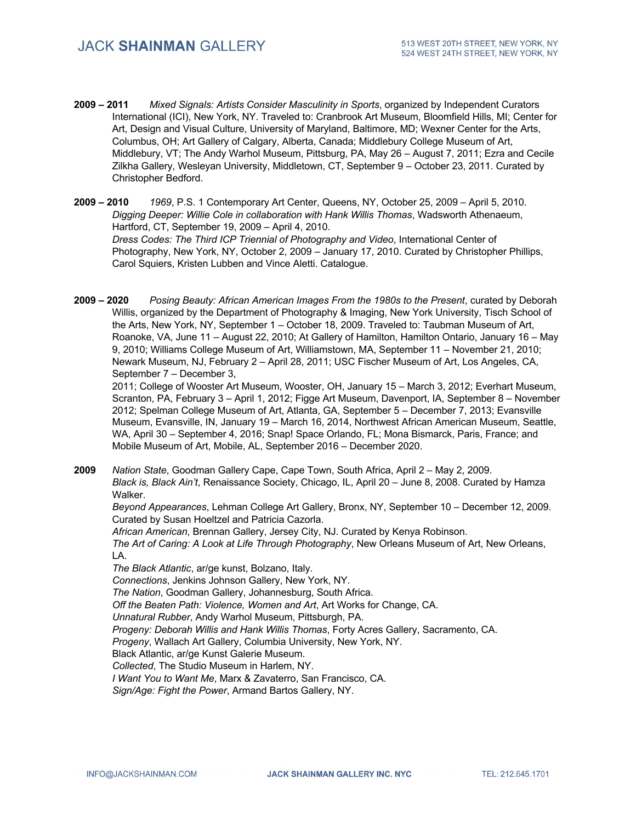- **2009 – 2011** *Mixed Signals: Artists Consider Masculinity in Sports*, organized by Independent Curators International (ICI), New York, NY. Traveled to: Cranbrook Art Museum, Bloomfield Hills, MI; Center for Art, Design and Visual Culture, University of Maryland, Baltimore, MD; Wexner Center for the Arts, Columbus, OH; Art Gallery of Calgary, Alberta, Canada; Middlebury College Museum of Art, Middlebury, VT; The Andy Warhol Museum, Pittsburg, PA, May 26 – August 7, 2011; Ezra and Cecile Zilkha Gallery, Wesleyan University, Middletown, CT, September 9 – October 23, 2011. Curated by Christopher Bedford.
- **2009 – 2010** *1969*, P.S. 1 Contemporary Art Center, Queens, NY, October 25, 2009 April 5, 2010. *Digging Deeper: Willie Cole in collaboration with Hank Willis Thomas*, Wadsworth Athenaeum, Hartford, CT, September 19, 2009 – April 4, 2010. *Dress Codes: The Third ICP Triennial of Photography and Video*, International Center of Photography, New York, NY, October 2, 2009 – January 17, 2010. Curated by Christopher Phillips, Carol Squiers, Kristen Lubben and Vince Aletti. Catalogue.
- **2009 – 2020** *Posing Beauty: African American Images From the 1980s to the Present*, curated by Deborah Willis, organized by the Department of Photography & Imaging, New York University, Tisch School of the Arts, New York, NY, September 1 – October 18, 2009. Traveled to: Taubman Museum of Art, Roanoke, VA, June 11 – August 22, 2010; At Gallery of Hamilton, Hamilton Ontario, January 16 – May 9, 2010; Williams College Museum of Art, Williamstown, MA, September 11 – November 21, 2010; Newark Museum, NJ, February 2 – April 28, 2011; USC Fischer Museum of Art, Los Angeles, CA, September 7 – December 3,

2011; College of Wooster Art Museum, Wooster, OH, January 15 – March 3, 2012; Everhart Museum, Scranton, PA, February 3 – April 1, 2012; Figge Art Museum, Davenport, IA, September 8 – November 2012; Spelman College Museum of Art, Atlanta, GA, September 5 – December 7, 2013; Evansville Museum, Evansville, IN, January 19 – March 16, 2014, Northwest African American Museum, Seattle, WA, April 30 – September 4, 2016; Snap! Space Orlando, FL; Mona Bismarck, Paris, France; and Mobile Museum of Art, Mobile, AL, September 2016 – December 2020.

**2009** *Nation State*, Goodman Gallery Cape, Cape Town, South Africa, April 2 – May 2, 2009. *Black is, Black Ain't*, Renaissance Society, Chicago, IL, April 20 – June 8, 2008. Curated by Hamza Walker. *Beyond Appearances*, Lehman College Art Gallery, Bronx, NY, September 10 – December 12, 2009. Curated by Susan Hoeltzel and Patricia Cazorla. *African American*, Brennan Gallery, Jersey City, NJ. Curated by Kenya Robinson. *The Art of Caring: A Look at Life Through Photography*, New Orleans Museum of Art, New Orleans, LA. *The Black Atlantic*, ar/ge kunst, Bolzano, Italy. *Connections*, Jenkins Johnson Gallery, New York, NY. *The Nation*, Goodman Gallery, Johannesburg, South Africa. *Off the Beaten Path: Violence, Women and Art*, Art Works for Change, CA. *Unnatural Rubber*, Andy Warhol Museum, Pittsburgh, PA. *Progeny: Deborah Willis and Hank Willis Thomas*, Forty Acres Gallery, Sacramento, CA. *Progeny*, Wallach Art Gallery, Columbia University, New York, NY. Black Atlantic, ar/ge Kunst Galerie Museum. *Collected*, The Studio Museum in Harlem, NY. *I Want You to Want Me*, Marx & Zavaterro, San Francisco, CA. *Sign/Age: Fight the Power*, Armand Bartos Gallery, NY.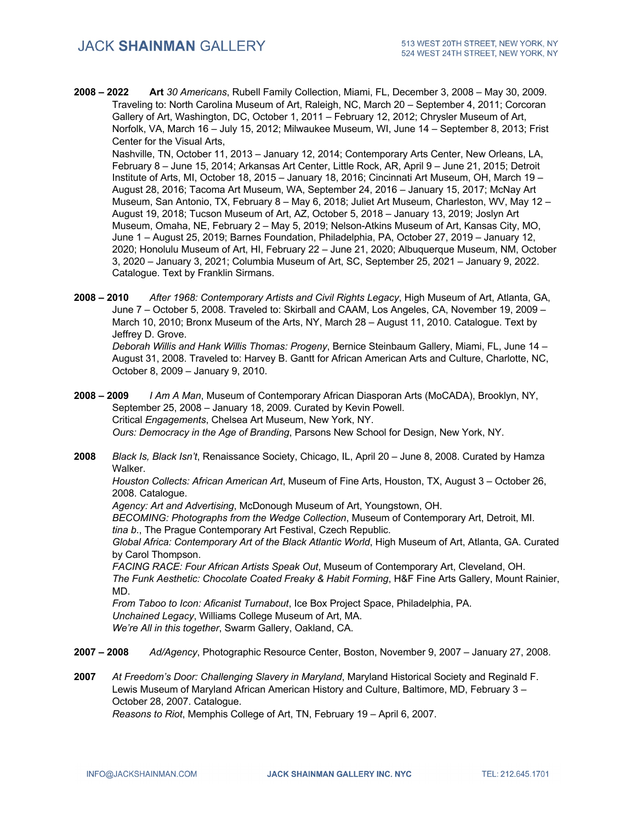**2008 – 2022 Art** *30 Americans*, Rubell Family Collection, Miami, FL, December 3, 2008 – May 30, 2009. Traveling to: North Carolina Museum of Art, Raleigh, NC, March 20 – September 4, 2011; Corcoran Gallery of Art, Washington, DC, October 1, 2011 – February 12, 2012; Chrysler Museum of Art, Norfolk, VA, March 16 – July 15, 2012; Milwaukee Museum, WI, June 14 – September 8, 2013; Frist Center for the Visual Arts,

Nashville, TN, October 11, 2013 – January 12, 2014; Contemporary Arts Center, New Orleans, LA, February 8 – June 15, 2014; Arkansas Art Center, Little Rock, AR, April 9 – June 21, 2015; Detroit Institute of Arts, MI, October 18, 2015 – January 18, 2016; Cincinnati Art Museum, OH, March 19 – August 28, 2016; Tacoma Art Museum, WA, September 24, 2016 – January 15, 2017; McNay Art Museum, San Antonio, TX, February 8 – May 6, 2018; Juliet Art Museum, Charleston, WV, May 12 – August 19, 2018; Tucson Museum of Art, AZ, October 5, 2018 – January 13, 2019; Joslyn Art Museum, Omaha, NE, February 2 – May 5, 2019; Nelson-Atkins Museum of Art, Kansas City, MO, June 1 – August 25, 2019; Barnes Foundation, Philadelphia, PA, October 27, 2019 – January 12, 2020; Honolulu Museum of Art, HI, February 22 – June 21, 2020; Albuquerque Museum, NM, October 3, 2020 – January 3, 2021; Columbia Museum of Art, SC, September 25, 2021 – January 9, 2022. Catalogue. Text by Franklin Sirmans.

**2008 – 2010** *After 1968: Contemporary Artists and Civil Rights Legacy*, High Museum of Art, Atlanta, GA, June 7 – October 5, 2008. Traveled to: Skirball and CAAM, Los Angeles, CA, November 19, 2009 – March 10, 2010; Bronx Museum of the Arts, NY, March 28 – August 11, 2010. Catalogue. Text by Jeffrey D. Grove.

*Deborah Willis and Hank Willis Thomas: Progeny*, Bernice Steinbaum Gallery, Miami, FL, June 14 – August 31, 2008. Traveled to: Harvey B. Gantt for African American Arts and Culture, Charlotte, NC, October 8, 2009 – January 9, 2010.

**2008 – 2009** *I Am A Man*, Museum of Contemporary African Diasporan Arts (MoCADA), Brooklyn, NY, September 25, 2008 – January 18, 2009. Curated by Kevin Powell. Critical *Engagements*, Chelsea Art Museum, New York, NY. *Ours: Democracy in the Age of Branding*, Parsons New School for Design, New York, NY.

**2008** *Black Is, Black Isn't*, Renaissance Society, Chicago, IL, April 20 – June 8, 2008. Curated by Hamza Walker.

*Houston Collects: African American Art*, Museum of Fine Arts, Houston, TX, August 3 – October 26, 2008. Catalogue.

*Agency: Art and Advertising*, McDonough Museum of Art, Youngstown, OH.

*BECOMING: Photographs from the Wedge Collection*, Museum of Contemporary Art, Detroit, MI. *tina b*., The Prague Contemporary Art Festival, Czech Republic.

*Global Africa: Contemporary Art of the Black Atlantic World*, High Museum of Art, Atlanta, GA. Curated by Carol Thompson.

*FACING RACE: Four African Artists Speak Out*, Museum of Contemporary Art, Cleveland, OH.

*The Funk Aesthetic: Chocolate Coated Freaky & Habit Forming*, H&F Fine Arts Gallery, Mount Rainier, MD.

*From Taboo to Icon: Aficanist Turnabout*, Ice Box Project Space, Philadelphia, PA. *Unchained Legacy*, Williams College Museum of Art, MA. *We're All in this together*, Swarm Gallery, Oakland, CA.

- **2007 – 2008** *Ad/Agency*, Photographic Resource Center, Boston, November 9, 2007 January 27, 2008.
- **2007** *At Freedom's Door: Challenging Slavery in Maryland*, Maryland Historical Society and Reginald F. Lewis Museum of Maryland African American History and Culture, Baltimore, MD, February 3 – October 28, 2007. Catalogue.

*Reasons to Riot*, Memphis College of Art, TN, February 19 – April 6, 2007.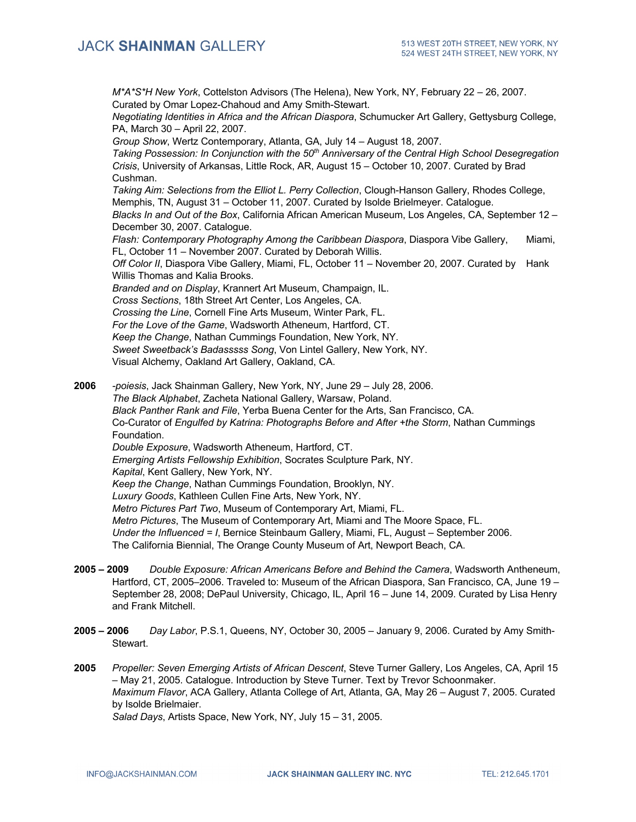*M\*A\*S\*H New York*, Cottelston Advisors (The Helena), New York, NY, February 22 – 26, 2007. Curated by Omar Lopez-Chahoud and Amy Smith-Stewart. *Negotiating Identities in Africa and the African Diaspora*, Schumucker Art Gallery, Gettysburg College, PA, March 30 – April 22, 2007. *Group Show*, Wertz Contemporary, Atlanta, GA, July 14 – August 18, 2007. *Taking Possession: In Conjunction with the 50th Anniversary of the Central High School Desegregation Crisis*, University of Arkansas, Little Rock, AR, August 15 – October 10, 2007. Curated by Brad Cushman. *Taking Aim: Selections from the Elliot L. Perry Collection*, Clough-Hanson Gallery, Rhodes College, Memphis, TN, August 31 – October 11, 2007. Curated by Isolde Brielmeyer. Catalogue. *Blacks In and Out of the Box*, California African American Museum, Los Angeles, CA, September 12 – December 30, 2007. Catalogue. *Flash: Contemporary Photography Among the Caribbean Diaspora*, Diaspora Vibe Gallery, Miami, FL, October 11 – November 2007. Curated by Deborah Willis. *Off Color II*, Diaspora Vibe Gallery, Miami, FL, October 11 – November 20, 2007. Curated by Hank Willis Thomas and Kalia Brooks. *Branded and on Display*, Krannert Art Museum, Champaign, IL. *Cross Sections*, 18th Street Art Center, Los Angeles, CA. *Crossing the Line*, Cornell Fine Arts Museum, Winter Park, FL. *For the Love of the Game*, Wadsworth Atheneum, Hartford, CT. *Keep the Change*, Nathan Cummings Foundation, New York, NY. *Sweet Sweetback's Badasssss Song*, Von Lintel Gallery, New York, NY. Visual Alchemy, Oakland Art Gallery, Oakland, CA.

**2006** *-poiesis*, Jack Shainman Gallery, New York, NY, June 29 – July 28, 2006. *The Black Alphabet*, Zacheta National Gallery, Warsaw, Poland. *Black Panther Rank and File*, Yerba Buena Center for the Arts, San Francisco, CA. Co-Curator of *Engulfed by Katrina: Photographs Before and After +the Storm*, Nathan Cummings Foundation. *Double Exposure*, Wadsworth Atheneum, Hartford, CT. *Emerging Artists Fellowship Exhibition*, Socrates Sculpture Park, NY. *Kapital*, Kent Gallery, New York, NY. *Keep the Change*, Nathan Cummings Foundation, Brooklyn, NY. *Luxury Goods*, Kathleen Cullen Fine Arts, New York, NY. *Metro Pictures Part Two*, Museum of Contemporary Art, Miami, FL. *Metro Pictures*, The Museum of Contemporary Art, Miami and The Moore Space, FL. *Under the Influenced = I*, Bernice Steinbaum Gallery, Miami, FL, August – September 2006. The California Biennial, The Orange County Museum of Art, Newport Beach, CA.

- **2005 – 2009** *Double Exposure: African Americans Before and Behind the Camera*, Wadsworth Antheneum, Hartford, CT, 2005–2006. Traveled to: Museum of the African Diaspora, San Francisco, CA, June 19 – September 28, 2008; DePaul University, Chicago, IL, April 16 – June 14, 2009. Curated by Lisa Henry and Frank Mitchell.
- **2005 – 2006** *Day Labor*, P.S.1, Queens, NY, October 30, 2005 January 9, 2006. Curated by Amy Smith-Stewart.
- **2005** *Propeller: Seven Emerging Artists of African Descent*, Steve Turner Gallery, Los Angeles, CA, April 15 – May 21, 2005. Catalogue. Introduction by Steve Turner. Text by Trevor Schoonmaker. *Maximum Flavor*, ACA Gallery, Atlanta College of Art, Atlanta, GA, May 26 – August 7, 2005. Curated by Isolde Brielmaier.

*Salad Days*, Artists Space, New York, NY, July 15 – 31, 2005.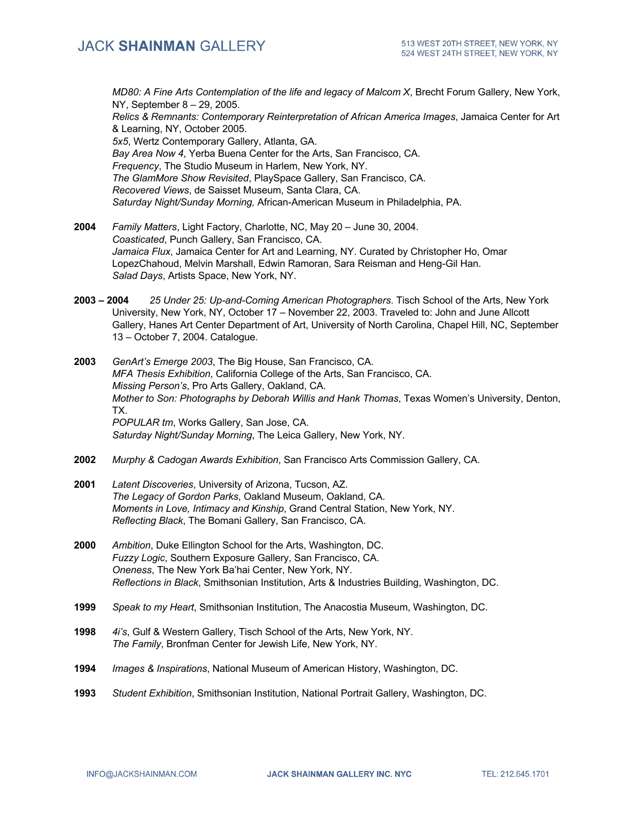*MD80: A Fine Arts Contemplation of the life and legacy of Malcom X*, Brecht Forum Gallery, New York, NY, September 8 – 29, 2005.

*Relics & Remnants: Contemporary Reinterpretation of African America Images*, Jamaica Center for Art & Learning, NY, October 2005.

*5x5*, Wertz Contemporary Gallery, Atlanta, GA. *Bay Area Now 4*, Yerba Buena Center for the Arts, San Francisco, CA. *Frequency*, The Studio Museum in Harlem, New York, NY. *The GlamMore Show Revisited*, PlaySpace Gallery, San Francisco, CA. *Recovered Views*, de Saisset Museum, Santa Clara, CA. *Saturday Night/Sunday Morning,* African-American Museum in Philadelphia, PA.

- **2004** *Family Matters*, Light Factory, Charlotte, NC, May 20 June 30, 2004. *Coasticated*, Punch Gallery, San Francisco, CA. *Jamaica Flux*, Jamaica Center for Art and Learning, NY. Curated by Christopher Ho, Omar LopezChahoud, Melvin Marshall, Edwin Ramoran, Sara Reisman and Heng-Gil Han. *Salad Days*, Artists Space, New York, NY.
- **2003 – 2004** *25 Under 25: Up-and-Coming American Photographers*. Tisch School of the Arts, New York University, New York, NY, October 17 – November 22, 2003. Traveled to: John and June Allcott Gallery, Hanes Art Center Department of Art, University of North Carolina, Chapel Hill, NC, September 13 – October 7, 2004. Catalogue.
- **2003** *GenArt's Emerge 2003*, The Big House, San Francisco, CA. *MFA Thesis Exhibition*, California College of the Arts, San Francisco, CA. *Missing Person's*, Pro Arts Gallery, Oakland, CA. *Mother to Son: Photographs by Deborah Willis and Hank Thomas*, Texas Women's University, Denton, TX. *POPULAR tm*, Works Gallery, San Jose, CA. *Saturday Night/Sunday Morning*, The Leica Gallery, New York, NY.
- **2002** *Murphy & Cadogan Awards Exhibition*, San Francisco Arts Commission Gallery, CA.
- **2001** *Latent Discoveries*, University of Arizona, Tucson, AZ. *The Legacy of Gordon Parks*, Oakland Museum, Oakland, CA. *Moments in Love, Intimacy and Kinship*, Grand Central Station, New York, NY. *Reflecting Black*, The Bomani Gallery, San Francisco, CA.
- **2000** *Ambition*, Duke Ellington School for the Arts, Washington, DC. *Fuzzy Logic*, Southern Exposure Gallery, San Francisco, CA. *Oneness*, The New York Ba'hai Center, New York, NY. *Reflections in Black*, Smithsonian Institution, Arts & Industries Building, Washington, DC.
- **1999** *Speak to my Heart*, Smithsonian Institution, The Anacostia Museum, Washington, DC.
- **1998** *4i's*, Gulf & Western Gallery, Tisch School of the Arts, New York, NY. *The Family*, Bronfman Center for Jewish Life, New York, NY.
- **1994** *Images & Inspirations*, National Museum of American History, Washington, DC.
- **1993** *Student Exhibition*, Smithsonian Institution, National Portrait Gallery, Washington, DC.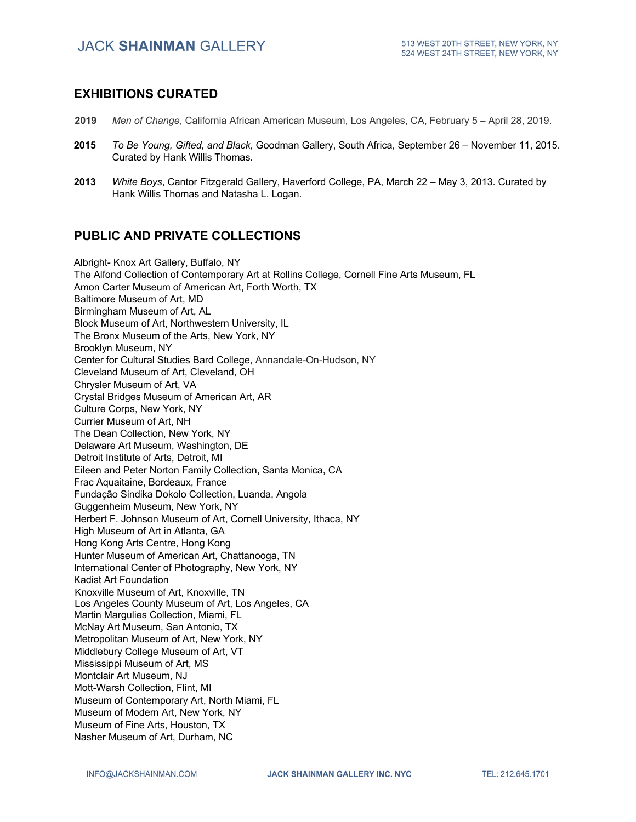#### **EXHIBITIONS CURATED**

- **2019** *Men of Change*, California African American Museum, Los Angeles, CA, February 5 April 28, 2019.
- **2015** *To Be Young, Gifted, and Black*, Goodman Gallery, South Africa, September 26 November 11, 2015. Curated by Hank Willis Thomas.
- **2013** *White Boys*, Cantor Fitzgerald Gallery, Haverford College, PA, March 22 May 3, 2013. Curated by Hank Willis Thomas and Natasha L. Logan.

### **PUBLIC AND PRIVATE COLLECTIONS**

Albright- Knox Art Gallery, Buffalo, NY The Alfond Collection of Contemporary Art at Rollins College, Cornell Fine Arts Museum, FL Amon Carter Museum of American Art, Forth Worth, TX Baltimore Museum of Art, MD Birmingham Museum of Art, AL Block Museum of Art, Northwestern University, IL The Bronx Museum of the Arts, New York, NY Brooklyn Museum, NY Center for Cultural Studies Bard College, Annandale-On-Hudson, NY Cleveland Museum of Art, Cleveland, OH Chrysler Museum of Art, VA Crystal Bridges Museum of American Art, AR Culture Corps, New York, NY Currier Museum of Art, NH The Dean Collection, New York, NY Delaware Art Museum, Washington, DE Detroit Institute of Arts, Detroit, MI Eileen and Peter Norton Family Collection, Santa Monica, CA Frac Aquaitaine, Bordeaux, France Fundação Sindika Dokolo Collection, Luanda, Angola Guggenheim Museum, New York, NY Herbert F. Johnson Museum of Art, Cornell University, Ithaca, NY High Museum of Art in Atlanta, GA Hong Kong Arts Centre, Hong Kong Hunter Museum of American Art, Chattanooga, TN International Center of Photography, New York, NY Kadist Art Foundation Knoxville Museum of Art, Knoxville, TN Los Angeles County Museum of Art, Los Angeles, CA Martin Margulies Collection, Miami, FL McNay Art Museum, San Antonio, TX Metropolitan Museum of Art, New York, NY Middlebury College Museum of Art, VT Mississippi Museum of Art, MS Montclair Art Museum, NJ Mott-Warsh Collection, Flint, MI Museum of Contemporary Art, North Miami, FL Museum of Modern Art, New York, NY Museum of Fine Arts, Houston, TX Nasher Museum of Art, Durham, NC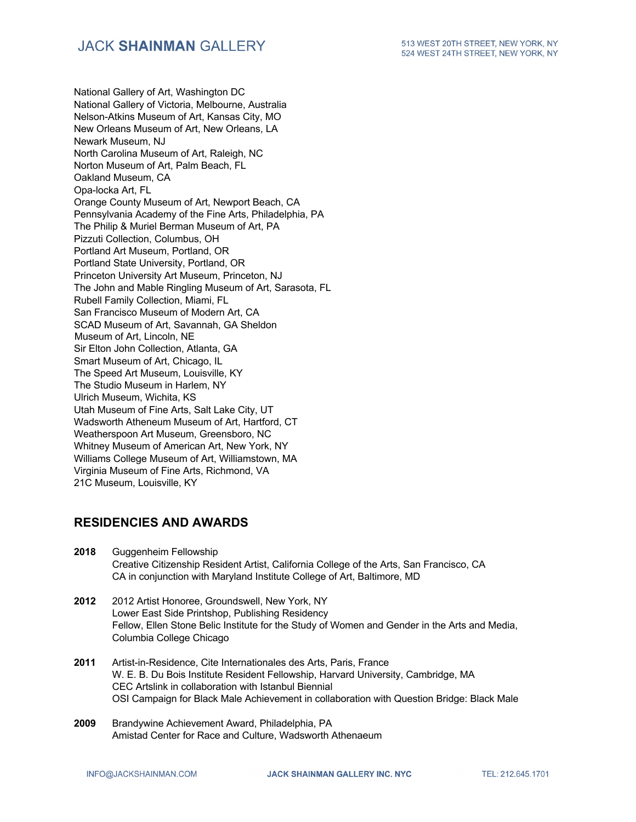National Gallery of Art, Washington DC National Gallery of Victoria, Melbourne, Australia Nelson-Atkins Museum of Art, Kansas City, MO New Orleans Museum of Art, New Orleans, LA Newark Museum, NJ North Carolina Museum of Art, Raleigh, NC Norton Museum of Art, Palm Beach, FL Oakland Museum, CA Opa-locka Art, FL Orange County Museum of Art, Newport Beach, CA Pennsylvania Academy of the Fine Arts, Philadelphia, PA The Philip & Muriel Berman Museum of Art, PA Pizzuti Collection, Columbus, OH Portland Art Museum, Portland, OR Portland State University, Portland, OR Princeton University Art Museum, Princeton, NJ The John and Mable Ringling Museum of Art, Sarasota, FL Rubell Family Collection, Miami, FL San Francisco Museum of Modern Art, CA SCAD Museum of Art, Savannah, GA Sheldon Museum of Art, Lincoln, NE Sir Elton John Collection, Atlanta, GA Smart Museum of Art, Chicago, IL The Speed Art Museum, Louisville, KY The Studio Museum in Harlem, NY Ulrich Museum, Wichita, KS Utah Museum of Fine Arts, Salt Lake City, UT Wadsworth Atheneum Museum of Art, Hartford, CT Weatherspoon Art Museum, Greensboro, NC Whitney Museum of American Art, New York, NY Williams College Museum of Art, Williamstown, MA Virginia Museum of Fine Arts, Richmond, VA 21C Museum, Louisville, KY

### **RESIDENCIES AND AWARDS**

- **2018** Guggenheim Fellowship Creative Citizenship Resident Artist, California College of the Arts, San Francisco, CA CA in conjunction with Maryland Institute College of Art, Baltimore, MD
- **2012** 2012 Artist Honoree, Groundswell, New York, NY Lower East Side Printshop, Publishing Residency Fellow, Ellen Stone Belic Institute for the Study of Women and Gender in the Arts and Media, Columbia College Chicago
- **2011** Artist-in-Residence, Cite Internationales des Arts, Paris, France W. E. B. Du Bois Institute Resident Fellowship, Harvard University, Cambridge, MA CEC Artslink in collaboration with Istanbul Biennial OSI Campaign for Black Male Achievement in collaboration with Question Bridge: Black Male
- **2009** Brandywine Achievement Award, Philadelphia, PA Amistad Center for Race and Culture, Wadsworth Athenaeum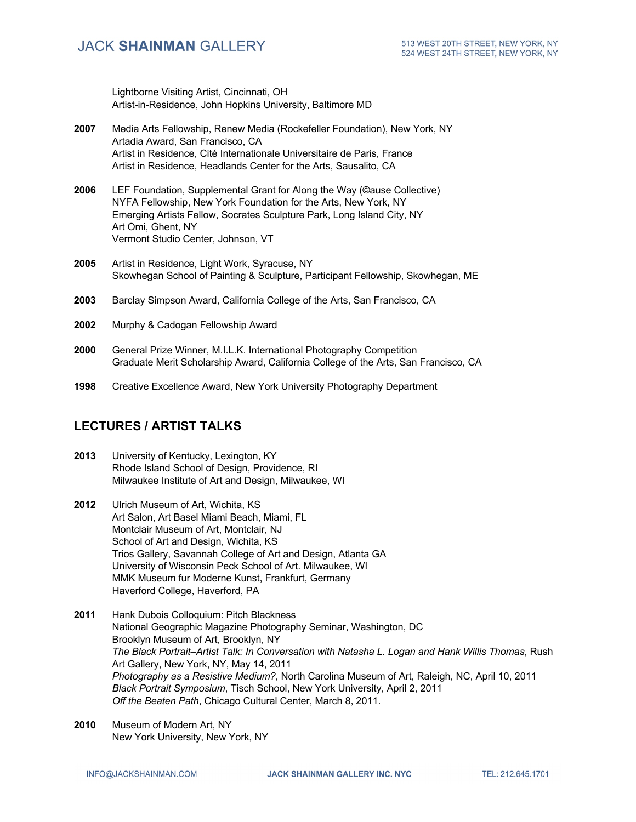Lightborne Visiting Artist, Cincinnati, OH Artist-in-Residence, John Hopkins University, Baltimore MD

- **2007** Media Arts Fellowship, Renew Media (Rockefeller Foundation), New York, NY Artadia Award, San Francisco, CA Artist in Residence, Cité Internationale Universitaire de Paris, France Artist in Residence, Headlands Center for the Arts, Sausalito, CA
- **2006** LEF Foundation, Supplemental Grant for Along the Way (©ause Collective) NYFA Fellowship, New York Foundation for the Arts, New York, NY Emerging Artists Fellow, Socrates Sculpture Park, Long Island City, NY Art Omi, Ghent, NY Vermont Studio Center, Johnson, VT
- **2005** Artist in Residence, Light Work, Syracuse, NY Skowhegan School of Painting & Sculpture, Participant Fellowship, Skowhegan, ME
- **2003** Barclay Simpson Award, California College of the Arts, San Francisco, CA
- **2002** Murphy & Cadogan Fellowship Award
- **2000** General Prize Winner, M.I.L.K. International Photography Competition Graduate Merit Scholarship Award, California College of the Arts, San Francisco, CA
- **1998** Creative Excellence Award, New York University Photography Department

#### **LECTURES / ARTIST TALKS**

- **2013** University of Kentucky, Lexington, KY Rhode Island School of Design, Providence, RI Milwaukee Institute of Art and Design, Milwaukee, WI
- **2012** Ulrich Museum of Art, Wichita, KS Art Salon, Art Basel Miami Beach, Miami, FL Montclair Museum of Art, Montclair, NJ School of Art and Design, Wichita, KS Trios Gallery, Savannah College of Art and Design, Atlanta GA University of Wisconsin Peck School of Art. Milwaukee, WI MMK Museum fur Moderne Kunst, Frankfurt, Germany Haverford College, Haverford, PA
- **2011** Hank Dubois Colloquium: Pitch Blackness National Geographic Magazine Photography Seminar, Washington, DC Brooklyn Museum of Art, Brooklyn, NY *The Black Portrait–Artist Talk: In Conversation with Natasha L. Logan and Hank Willis Thomas*, Rush Art Gallery, New York, NY, May 14, 2011 *Photography as a Resistive Medium?*, North Carolina Museum of Art, Raleigh, NC, April 10, 2011 *Black Portrait Symposium*, Tisch School, New York University, April 2, 2011 *Off the Beaten Path*, Chicago Cultural Center, March 8, 2011.
- **2010** Museum of Modern Art, NY New York University, New York, NY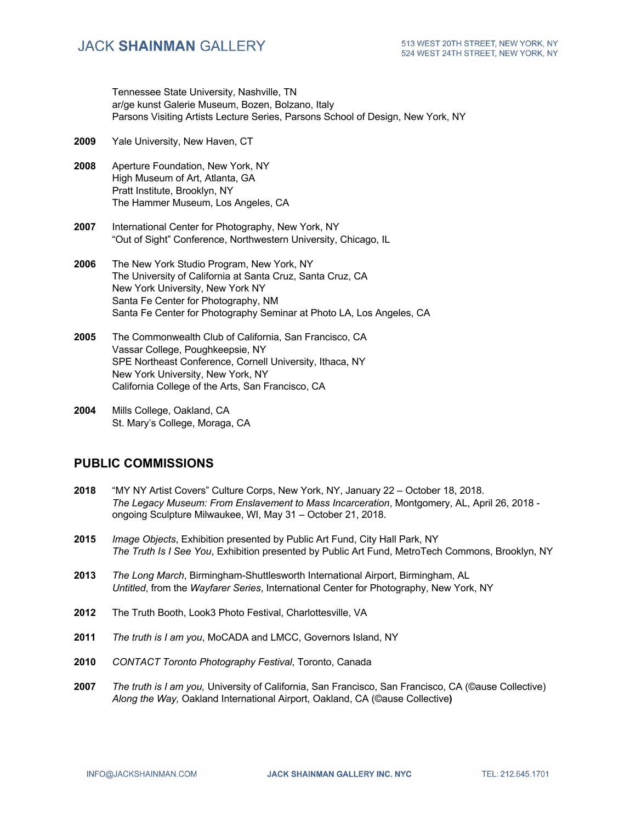Tennessee State University, Nashville, TN ar/ge kunst Galerie Museum, Bozen, Bolzano, Italy Parsons Visiting Artists Lecture Series, Parsons School of Design, New York, NY

- **2009** Yale University, New Haven, CT
- **2008** Aperture Foundation, New York, NY High Museum of Art, Atlanta, GA Pratt Institute, Brooklyn, NY The Hammer Museum, Los Angeles, CA
- **2007** International Center for Photography, New York, NY "Out of Sight" Conference, Northwestern University, Chicago, IL
- **2006** The New York Studio Program, New York, NY The University of California at Santa Cruz, Santa Cruz, CA New York University, New York NY Santa Fe Center for Photography, NM Santa Fe Center for Photography Seminar at Photo LA, Los Angeles, CA
- **2005** The Commonwealth Club of California, San Francisco, CA Vassar College, Poughkeepsie, NY SPE Northeast Conference, Cornell University, Ithaca, NY New York University, New York, NY California College of the Arts, San Francisco, CA
- **2004** Mills College, Oakland, CA St. Mary's College, Moraga, CA

#### **PUBLIC COMMISSIONS**

- **2018** "MY NY Artist Covers" Culture Corps, New York, NY, January 22 October 18, 2018. *The Legacy Museum: From Enslavement to Mass Incarceration*, Montgomery, AL, April 26, 2018 ongoing Sculpture Milwaukee, WI, May 31 – October 21, 2018.
- **2015** *Image Objects*, Exhibition presented by Public Art Fund, City Hall Park, NY *The Truth Is I See You*, Exhibition presented by Public Art Fund, MetroTech Commons, Brooklyn, NY
- **2013** *The Long March*, Birmingham-Shuttlesworth International Airport, Birmingham, AL *Untitled*, from the *Wayfarer Series*, International Center for Photography, New York, NY
- **2012** The Truth Booth, Look3 Photo Festival, Charlottesville, VA
- **2011** *The truth is I am you*, MoCADA and LMCC, Governors Island, NY
- **2010** *CONTACT Toronto Photography Festival*, Toronto, Canada
- **2007** *The truth is I am you,* University of California, San Francisco, San Francisco, CA (©ause Collective) *Along the Way,* Oakland International Airport, Oakland, CA (©ause Collective**)**